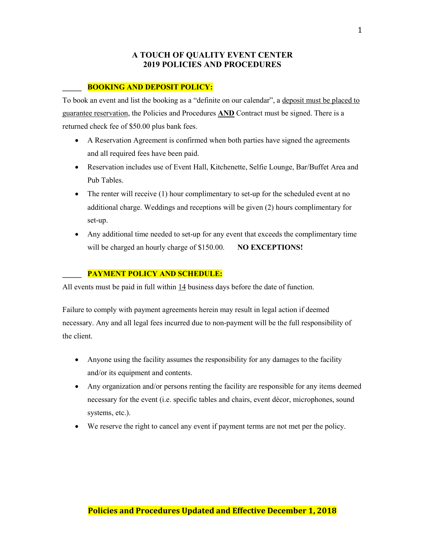## **A TOUCH OF QUALITY EVENT CENTER 2019 POLICIES AND PROCEDURES**

#### **\_\_\_\_\_ BOOKING AND DEPOSIT POLICY:**

To book an event and list the booking as a "definite on our calendar", a deposit must be placed to guarantee reservation, the Policies and Procedures **AND** Contract must be signed. There is a returned check fee of \$50.00 plus bank fees.

- A Reservation Agreement is confirmed when both parties have signed the agreements and all required fees have been paid.
- Reservation includes use of Event Hall, Kitchenette, Selfie Lounge, Bar/Buffet Area and Pub Tables.
- The renter will receive (1) hour complimentary to set-up for the scheduled event at no additional charge. Weddings and receptions will be given (2) hours complimentary for set-up.
- Any additional time needed to set-up for any event that exceeds the complimentary time will be charged an hourly charge of \$150.00. **NO EXCEPTIONS!**

#### **\_\_\_\_\_ PAYMENT POLICY AND SCHEDULE:**

All events must be paid in full within 14 business days before the date of function.

Failure to comply with payment agreements herein may result in legal action if deemed necessary. Any and all legal fees incurred due to non-payment will be the full responsibility of the client.

- Anyone using the facility assumes the responsibility for any damages to the facility and/or its equipment and contents.
- Any organization and/or persons renting the facility are responsible for any items deemed necessary for the event (i.e. specific tables and chairs, event décor, microphones, sound systems, etc.).
- We reserve the right to cancel any event if payment terms are not met per the policy.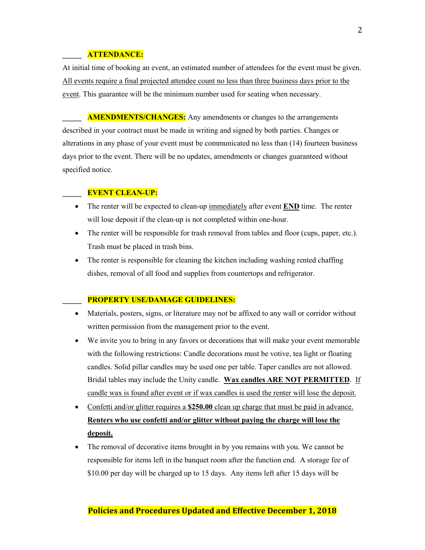### **\_\_\_\_\_ ATTENDANCE:**

At initial time of booking an event, an estimated number of attendees for the event must be given. All events require a final projected attendee count no less than three business days prior to the event. This guarantee will be the minimum number used for seating when necessary.

**AMENDMENTS/CHANGES:** Any amendments or changes to the arrangements described in your contract must be made in writing and signed by both parties. Changes or alterations in any phase of your event must be communicated no less than (14) fourteen business days prior to the event. There will be no updates, amendments or changes guaranteed without specified notice.

## **\_\_\_\_\_ EVENT CLEAN-UP:**

- The renter will be expected to clean-up immediately after event **END** time. The renter will lose deposit if the clean-up is not completed within one-hour.
- The renter will be responsible for trash removal from tables and floor (cups, paper, etc.). Trash must be placed in trash bins.
- The renter is responsible for cleaning the kitchen including washing rented chaffing dishes, removal of all food and supplies from countertops and refrigerator.

#### **\_\_\_\_\_ PROPERTY USE/DAMAGE GUIDELINES:**

- Materials, posters, signs, or literature may not be affixed to any wall or corridor without written permission from the management prior to the event.
- We invite you to bring in any favors or decorations that will make your event memorable with the following restrictions: Candle decorations must be votive, tea light or floating candles. Solid pillar candles may be used one per table. Taper candles are not allowed. Bridal tables may include the Unity candle. **Wax candles ARE NOT PERMITTED**. If candle wax is found after event or if wax candles is used the renter will lose the deposit.
- Confetti and/or glitter requires a \$250.00 clean up charge that must be paid in advance. **Renters who use confetti and/or glitter without paying the charge will lose the deposit.**
- The removal of decorative items brought in by you remains with you. We cannot be responsible for items left in the banquet room after the function end. A storage fee of \$10.00 per day will be charged up to 15 days. Any items left after 15 days will be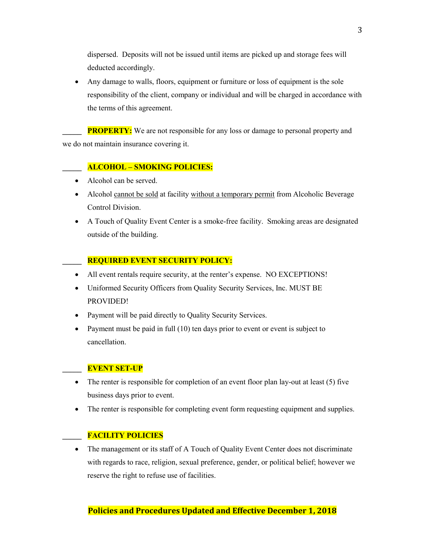dispersed. Deposits will not be issued until items are picked up and storage fees will deducted accordingly.

• Any damage to walls, floors, equipment or furniture or loss of equipment is the sole responsibility of the client, company or individual and will be charged in accordance with the terms of this agreement.

**PROPERTY:** We are not responsible for any loss or damage to personal property and we do not maintain insurance covering it.

## **\_\_\_\_\_ ALCOHOL – SMOKING POLICIES:**

- Alcohol can be served.
- Alcohol cannot be sold at facility without a temporary permit from Alcoholic Beverage Control Division.
- A Touch of Quality Event Center is a smoke-free facility. Smoking areas are designated outside of the building.

## **\_\_\_\_\_ REQUIRED EVENT SECURITY POLICY:**

- All event rentals require security, at the renter's expense. NO EXCEPTIONS!
- Uniformed Security Officers from Quality Security Services, Inc. MUST BE PROVIDED!
- Payment will be paid directly to Quality Security Services.
- Payment must be paid in full (10) ten days prior to event or event is subject to cancellation.

## **\_\_\_\_\_ EVENT SET-UP**

- The renter is responsible for completion of an event floor plan lay-out at least (5) five business days prior to event.
- The renter is responsible for completing event form requesting equipment and supplies.

## **\_\_\_\_\_ FACILITY POLICIES**

• The management or its staff of A Touch of Quality Event Center does not discriminate with regards to race, religion, sexual preference, gender, or political belief; however we reserve the right to refuse use of facilities.

# **Policies and Procedures Updated and Effective December 1, 2018**